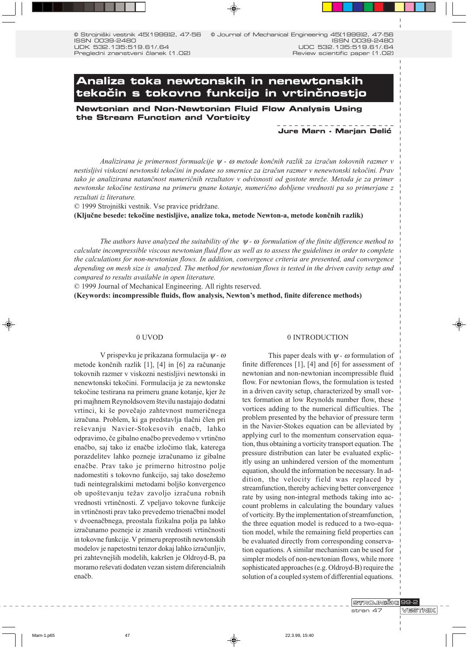0 Strojniški vestnik 45(1999)2, 47-56 ISSN 0039-2480 UDK 532.135:519.61/.64 Pregledni znanstveni članek (1.02) © Journal of Mechanical Engineering 45(1999)2, 47-56 ISSN 0039-2480 UDC 532.135:519.61/.64 Review scientific paper (1.02)

# **Analiza toka newtonskih in nenewtonskih teko~in s tokovno funkcijo in vrtin~nostjo**

**Newtonian and Non-Newtonian Fluid Flow Analysis Using the Stream Function and Vorticity**

## **Jure Marn - Marjan Delić**

Analizirana je primernost formualcije  $\psi$  -  $\omega$  metode končnih razlik za izračun tokovnih razmer v nestisljivi viskozni newtonski tekočini in podane so smernice za izračun razmer v nenewtonski tekočini. Prav tako je analizirana natančnost numeričnih rezultatov v odvisnosti od gostote mreže. Metoda je za primer newtonske tekočine testirana na primeru gnane kotanje, numerično dobljene vrednosti pa so primerjane z rezultati iz literature.

© 1999 Strojniški vestnik. Vse pravice pridržane.

(Ključne besede: tekočine nestisljive, analize toka, metode Newton-a, metode končnih razlik)

The authors have analyzed the suitability of the  $\psi$ -  $\omega$  formulation of the finite difference method to calculate incompressible viscous newtonian fluid flow as well as to assess the guidelines in order to complete the calculations for non-newtonian flows. In addition, convergence criteria are presented, and convergence depending on mesh size is analyzed. The method for newtonian flows is tested in the driven cavity setup and compared to results available in open literature.

© 1999 Journal of Mechanical Engineering. All rights reserved.

(Keywords: incompressible fluids, flow analysis, Newton's method, finite diference methods)

## 0 UVOD

V prispevku je prikazana formulacija  $\psi$ -  $\omega$ metode končnih razlik [1], [4] in [6] za računanje tokovnih razmer v viskozni nestisljivi newtonski in nenewtonski tekočini. Formulacija je za newtonske tekočine testirana na primeru gnane kotanje, kjer že pri majhnem Reynoldsovem številu nastajajo dodatni vrtinci, ki še povečajo zahtevnost numeričnega izračuna. Problem, ki ga predstavlja tlačni člen pri reševanju Navier-Stokesovih enačb, lahko odpravimo, če gibalno enačbo prevedemo v vrtinčno enačbo, saj tako iz enačbe izločimo tlak, katerega porazdelitev lahko pozneje izračunamo iz gibalne enačbe. Prav tako je primerno hitrostno polje nadomestiti s tokovno funkcijo, saj tako dosežemo tudi neintegralskimi metodami boljšo konvergenco ob upoštevanju težav zavoljo izračuna robnih vrednosti vrtinčnosti. Z vpeljavo tokovne funkcije in vrtinčnosti prav tako prevedemo trienačbni model v dvoenačbnega, preostala fizikalna polja pa lahko izračunamo pozneje iz znanih vrednosti vrtinčnosti in tokovne funkcije. V primeru preprostih newtonskih modelov je napetostni tenzor dokaj lahko izračunljiv, pri zahtevnejših modelih, kakršen je Oldroyd-B, pa moramo reševati dodaten vezan sistem diferencialnih enačb.

## 0 INTRODUCTION

This paper deals with  $\psi$  -  $\omega$  formulation of finite differences  $[1]$ ,  $[4]$  and  $[6]$  for assessment of newtonian and non-newtonian incompressible fluid flow. For newtonian flows, the formulation is tested in a driven cavity setup, characterized by small vortex formation at low Reynolds number flow, these vortices adding to the numerical difficulties. The problem presented by the behavior of pressure term in the Navier-Stokes equation can be alleviated by applying curl to the momentum conservation equation, thus obtaining a vorticity transport equation. The pressure distribution can later be evaluated explicitly using an unhindered version of the momentum equation, should the information be necessary. In addition, the velocity field was replaced by streamfunction, thereby achieving better convergence rate by using non-integral methods taking into account problems in calculating the boundary values of vorticity. By the implementation of streamfunction, the three equation model is reduced to a two-equation model, while the remaining field properties can be evaluated directly from corresponding conservation equations. A similar mechanism can be used for simpler models of non-newtonian flows, while more sophisticated approaches (e.g. Oldroyd-B) require the solution of a coupled system of differential equations.

STROJNIŠKI 99-2

stran 47

**VESTNIK**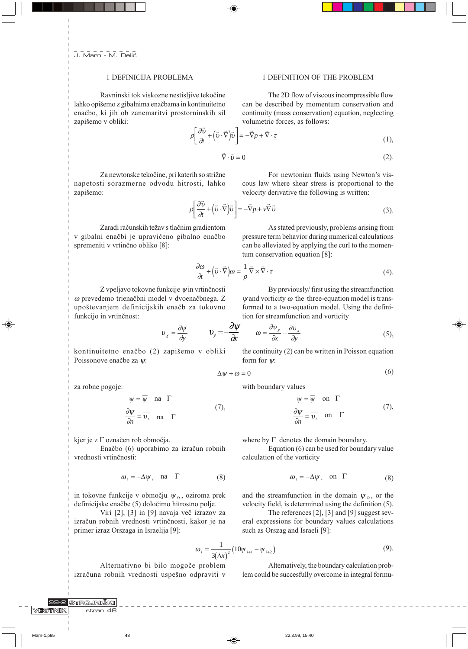## 1 DEFINICIJA PROBLEMA

Ravninski tok viskozne nestisljive tekočine lahko opišemo z gibalnima enačbama in kontinuitetno enačbo, ki jih ob zanemaritvi prostorninskih sil zapišemo v obliki:

The 2D flow of viscous incompressible flow can be described by momentum conservation and

1 DEFINITION OF THE PROBLEM

continuity (mass conservation) equation, neglecting volumetric forces, as follows:

$$
\rho \left[ \frac{\partial \vec{v}}{\partial t} + (\vec{v} \cdot \vec{\nabla}) \vec{v} \right] = -\vec{\nabla} p + \vec{\nabla} \cdot \underline{\tau}
$$
\n(1)

 $\vec{\nabla}$  .

 $\rho$ 

$$
\vec{v} = 0 \tag{2}
$$

Za newtonske tekočine, pri katerih so strižne napetosti sorazmerne odvodu hitrosti, lahko zapišemo:

v gibalni enačbi je upravičeno gibalno enačbo

spremeniti v vrtinčno obliko [8]:

Zaradi računskih težav s tlačnim gradientom

For newtonian fluids using Newton's viscous law where shear stress is proportional to the velocity derivative the following is written:

$$
\left[\frac{\partial \vec{v}}{\partial t} + (\vec{v} \cdot \vec{\nabla}) \vec{v}\right] = -\vec{\nabla} p + \nu \vec{\nabla} \vec{v}
$$
\n(3)

As stated previously, problems arising from pressure term behavior during numerical calculations can be alleviated by applying the curl to the momentum conservation equation [8]:

$$
\frac{\partial \omega}{\partial t} + (\vec{v} \cdot \vec{\nabla}) \omega = -\frac{1}{\rho} \vec{\nabla} \times \vec{\nabla} \cdot \underline{\tau}
$$
\n(4)

Z vpeljavo tokovne funkcije  $\psi$ in vrtinčnosti ω prevedemo trienačbni model v dvoenačbnega. Z upoštevanjem definicijskih enačb za tokovno funkcijo in vrtinčnost:

By previously/first using the streamfunction  $\psi$  and vorticity  $\omega$  the three-equation model is transformed to a two-equation model. Using the definition for streamfunction and vorticity

$$
v_x = \frac{\partial \psi}{\partial y} \qquad v_y = -\frac{\partial \psi}{\partial x} \qquad \omega = \frac{\partial v_y}{\partial x} - \frac{\partial v_x}{\partial y} \qquad (5),
$$

kontinuitetno enačbo (2) zapišemo v obliki Poissonove enačbe za  $\psi$ :

 $\overline{v}$ 

 $\triangle$ 

za robne pogoje:

$$
\psi = \psi \quad \text{na} \quad \Gamma
$$
  

$$
\frac{\partial \psi}{\partial n} = \overline{\nu_r} \quad \text{na} \quad \Gamma
$$
 (7)

kjer je z  $\Gamma$  označen rob območja.

Enačbo (6) uporabimo za izračun robnih vrednosti vrtinčnosti:

$$
\omega_i = -\Delta \psi_r \quad \text{na} \quad \Gamma \tag{8}
$$

in tokovne funkcije v območju  $\psi_{\Omega}$ , oziroma prek definicijske enačbe (5) določimo hitrostno polje.

Viri [2], [3] in [9] navaja več izrazov za izračun robnih vrednosti vrtinčnosti, kakor je na primer izraz Orszaga in Israelija [9]:

the continuity (2) can be written in Poisson equation form for  $\psi$ :

$$
\Delta \psi + \omega = 0 \tag{6}
$$

with boundary values

$$
\psi = \overline{\psi} \quad \text{on } \Gamma
$$
\n
$$
\frac{\partial \psi}{\partial n} = \overline{\nu}_{\tau} \quad \text{on } \Gamma
$$
\n(7)

where by  $\Gamma$  denotes the domain boundary.

Equation (6) can be used for boundary value calculation of the vorticity

$$
\omega_i = -\Delta \psi_r \quad \text{on} \quad \Gamma \tag{8}
$$

and the streamfunction in the domain  $\psi_{\Omega}$ , or the velocity field, is determined using the definition (5).

The references  $[2]$ ,  $[3]$  and  $[9]$  suggest several expressions for boundary values calculations such as Orszag and Israeli [9]:

$$
\vartheta_i = \frac{1}{3(\Delta x)^2} \left( 10\psi_{i+1} - \psi_{i+2} \right) \tag{9}.
$$

Alternativno bi bilo mogoče problem izračuna robnih vrednosti uspešno odpraviti v

Alternatively, the boundary calculation problem could be succesfully overcome in integral formu-

STROJNIŠKI VESTNIK stran 48

Marn-1.p65

48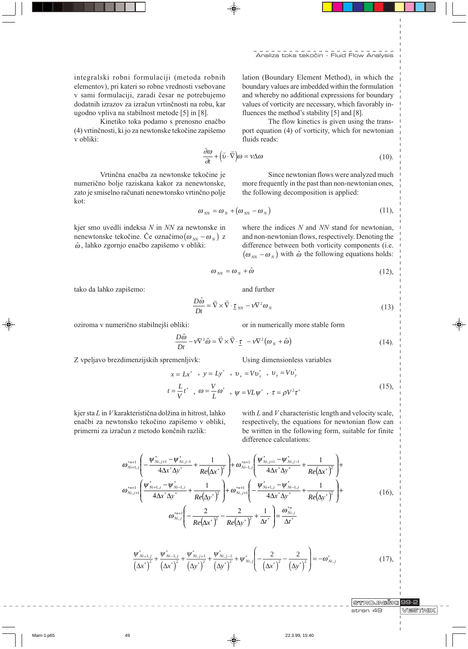integralski robni formulaciji (metoda robnih elementov), pri kateri so robne vrednosti vsebovane v sami formulaciji, zaradi česar ne potrebujemo dodatnih izrazov za izračun vrtinčnosti na robu, kar ugodno vpliva na stabilnost metode [5] in [8].

Kinetiko toka podamo s prenosno enačbo (4) vrtinčnosti, ki jo za newtonske tekočine zapišemo v obliki:

lation (Boundary Element Method), in which the boundary values are imbedded within the formulation and whereby no additional expressions for boundary values of vorticity are necessary, which favorably influences the method's stability [5] and [8].

The flow kinetics is given using the transport equation (4) of vorticity, which for newtonian fluids reads:

$$
\frac{\partial \omega}{\partial t} + (\vec{v} \cdot \vec{\nabla}) \omega = v \Delta \omega \tag{10}
$$

Vrtinčna enačba za newtonske tekočine je numerično bolje raziskana kakor za nenewtonske, zato je smiselno računati nenewtonsko vrtinčno polje kot:

Since newtonian flows were analyzed much more frequently in the past than non-newtonian ones, the following decomposition is applied:

$$
\omega_{NN} = \omega_N + (\omega_{NN} - \omega_N) \tag{11},
$$

kjer smo uvedli indeksa N in NN za newtonske in nenewtonske tekočine. Če označimo $(\omega_{NN} - \omega_{N})$  z  $\hat{\omega}$ , lahko zgornjo enačbo zapišemo v obliki:

where the indices  $N$  and  $NN$  stand for newtonian, and non-newtonian flows, respectively. Denoting the difference between both vorticity components (i.e.  $(\omega_{NN} - \omega_{N})$  with  $\hat{\omega}$  the following equations holds:

$$
\omega_{\scriptscriptstyle NN} = \omega_{\scriptscriptstyle N} + \hat{\omega} \tag{12},
$$

tako da lahko zapišemo:

$$
\frac{D\hat{\omega}}{Dt} = \vec{\nabla} \times \vec{\nabla} \cdot \underline{\tau}_{NN} - \nu \nabla^2 \omega_N \tag{13}
$$

oziroma v numerično stabilnejši obliki:

or in numerically more stable form

$$
\frac{D\omega}{Dt} - v\nabla^2 \hat{\omega} = \vec{\nabla} \times \vec{\nabla} \cdot \underline{\tau} - v\nabla^2 (\omega_N + \hat{\omega})
$$
 (14).

and further

Z vpeljavo brezdimenzijskih spremenljivk:

Using dimensionless variables

$$
x = Lx^* \rightarrow y = Ly^* \rightarrow v_x = Vv_x \rightarrow v_y = Vv_y
$$
  
\n
$$
t = \frac{L}{V}t^* \rightarrow \omega = \frac{V}{L}\omega^* \rightarrow \psi = VL\psi^* \rightarrow \tau = \rho V^2 \tau^*
$$
 (15),

kjer sta L in V karakteristična dolžina in hitrost, lahko enačbi za newtonsko tekočino zapišemo v obliki, primerni za izračun z metodo končnih razlik:

with  $L$  and  $V$  characteristic length and velocity scale, respectively, the equations for newtonian flow can be written in the following form, suitable for finite difference calculations:

$$
\omega_{N_{i+1,j}}^{*_{n+1}}\left(-\frac{\Psi_{N_{i,j+1}}^{*}-\Psi_{N_{i,j-1}}^{*}}{4\Delta x^{*}\Delta y^{*}}+\frac{1}{Re(\Delta x^{*})^{2}}\right)+\omega_{N_{i-1,j}}^{*_{n+1}}\left(\frac{\Psi_{N_{i,j+1}}^{*}-\Psi_{N_{i,j-1}}^{*}}{4\Delta x^{*}\Delta y^{*}}+\frac{1}{Re(\Delta x^{*})^{2}}\right)+\omega_{N_{i,j+1}}^{*_{n+1}}\left(\frac{\Psi_{N_{i+1,j}}^{*}-\Psi_{N_{i-1,j}}^{*}}{4\Delta x^{*}\Delta y^{*}}+\frac{1}{Re(\Delta y^{*})^{2}}\right)+\omega_{N_{i,j+1}}^{*_{n+1}}\left(-\frac{\Psi_{N_{i+1,j}}^{*}-\Psi_{N_{i-1,j}}^{*}}{4\Delta x^{*}\Delta y^{*}}+\frac{1}{Re(\Delta y^{*})^{2}}\right)+\omega_{N_{i,j+1}}^{*_{n+1}}\left(-\frac{2}{Re(\Delta x^{*})^{2}}-\frac{2}{Re(\Delta y^{*})^{2}}+\frac{1}{\Delta t^{*}}\right)=\frac{\omega_{N_{i,j}}^{*_{n,j}}}{\Delta t^{*}}
$$
\n(16),

$$
\frac{\psi_{Ni+1,j}^{*}}{\left(\Delta x^{*}\right)^{2}} + \frac{\psi_{Ni-1,j}^{*}}{\left(\Delta x^{*}\right)^{2}} + \frac{\psi_{Ni,j+1}^{*}}{\left(\Delta y^{*}\right)^{2}} + \frac{\psi_{Ni,j-1}^{*}}{\left(\Delta y^{*}\right)^{2}} + \psi_{Ni,j}^{*} \left(-\frac{2}{\left(\Delta x^{*}\right)^{2}} - \frac{2}{\left(\Delta y^{*}\right)^{2}}\right) = -\omega_{Ni,j}^{*} \tag{17}
$$

**STROJNIŠKI** 99-2 stran 49

**VESTNIK** 

Marn-1.p65

49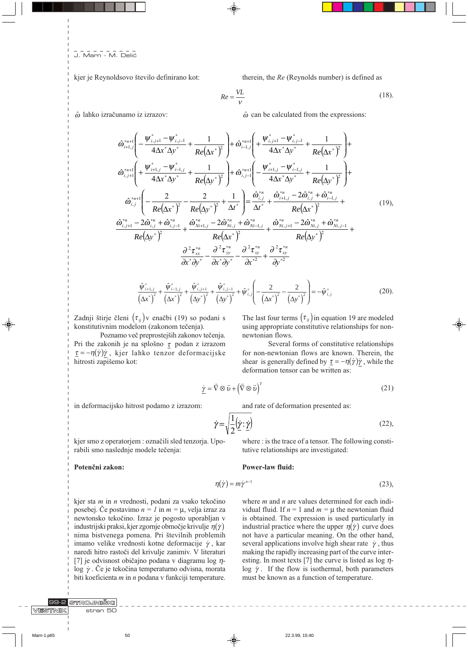kjer je Reynoldsovo število definirano kot:

therein, the Re (Reynolds number) is defined as

$$
Re = \frac{VL}{V}
$$
 (18).

 $\hat{\omega}$  lahko izračunamo iz izrazov:

 $\hat{\omega}$  can be calculated from the expressions:

$$
\hat{\omega}_{i+1,j}^{*} \left( -\frac{\Psi_{i,j+1}^{*} - \Psi_{i,j-1}^{*}}{4\Delta x^{*} \Delta y^{*}} + \frac{1}{Re(\Delta x^{*})^{2}} \right) + \hat{\omega}_{i-1,j}^{*} \left( +\frac{\Psi_{i,j+1}^{*} - \Psi_{i,j-1}^{*}}{4\Delta x^{*} \Delta y^{*}} + \frac{1}{Re(\Delta x^{*})^{2}} \right) + \hat{\omega}_{i,j+1}^{*} \left( +\frac{\Psi_{i+1,j}^{*} - \Psi_{i-1,j}^{*}}{4\Delta x^{*} \Delta y^{*}} + \frac{1}{Re(\Delta y^{*})^{2}} \right) + \hat{\omega}_{i,j-1}^{*} \left( -\frac{\Psi_{i+1,j}^{*} - \Psi_{i-1,j}^{*}}{4\Delta x^{*} \Delta y^{*}} + \frac{1}{Re(\Delta y^{*})^{2}} \right) + \hat{\omega}_{i,j}^{*} \left( -\frac{2}{Re(\Delta x^{*})^{2}} - \frac{2}{Re(\Delta y^{*})^{2}} + \frac{1}{\Delta t^{*}} \right) = \frac{\hat{\omega}_{i,j}^{*}}{\Delta t^{*}} + \frac{\hat{\omega}_{i+1,j}^{*} - 2\hat{\omega}_{i,j}^{*} + \hat{\omega}_{i-1,j}^{*}}{Re(\Delta x^{*})^{2}} + \frac{\hat{\omega}_{i,j+1}^{*} - 2\hat{\omega}_{i,j}^{*} + \hat{\omega}_{i-1,j}^{*}}{Re(\Delta x^{*})^{2}} + \frac{\hat{\omega}_{i,j+1}^{*} - 2\hat{\omega}_{i,j}^{*} + \hat{\omega}_{i-1,j}^{*}}{Re(\Delta y^{*})^{2}} + \frac{\hat{\omega}_{i,j+1}^{*} - 2\hat{\omega}_{i,j}^{*} + \hat{\omega}_{i,j-1}^{*}}{Re(\Delta y^{*})^{2}} + \frac{\hat{\omega}_{i,j+1}^{*} - 2\hat{\omega}_{i,j}^{*}}{Re(\Delta y^{*})^{2}} + \frac{\hat{\omega}_{i,j+1}^{*} - 2\hat{\omega}_{i,j}^{*}}{Re(\Delta y^{*})^{2}} + \frac{\hat{\omega}_{i,j+1}^{*} - 2\hat{\omega}_{i,j}^{*}}{2\hat{\sigma}_{i}^{*} \Delta y^{*}} + \frac{\hat{\omega}_{i,j+1}^{*} - 2\hat{\omega}_{i
$$

$$
\frac{\hat{\psi}_{i+1,j}^*}{(\Delta x^*)^2} + \frac{\hat{\psi}_{i-1,j}^*}{(\Delta x^*)^2} + \frac{\hat{\psi}_{i,j+1}^*}{(\Delta y^*)^2} + \frac{\hat{\psi}_{i,j-1}^*}{(\Delta y^*)^2} + \hat{\psi}_{i,j}^* \left( -\frac{2}{(\Delta x^*)^2} - \frac{2}{(\Delta y^*)^2} \right) = -\hat{\psi}_{i,j}^* \tag{20}
$$

Zadnji štirje členi  $(\tau_{ij})$ v enačbi (19) so podani s konstitutivnim modelom (zakonom tečenja).

Poznamo več preprostejših zakonov tečenja. Pri the zakonih je na splošno  $\tau$  podan z izrazom  $\underline{\tau} = -\eta(\dot{\gamma})\dot{\gamma}$ , kjer lahko tenzor deformacijske hitrosti zapišemo kot:

The last four terms  $(\tau_{ij})$  in equation 19 are modeled using appropriate constitutive relationships for nonnewtonian flows.

Several forms of constitutive relationships for non-newtonian flows are known. Therein, the shear is generally defined by  $\underline{\tau} = -\eta(\dot{\gamma})\dot{\gamma}$ , while the deformation tensor can be written as:

$$
\dot{\underline{\mathbf{Y}}} = \vec{\nabla} \otimes \vec{\mathbf{v}} + \left(\vec{\nabla} \otimes \vec{\mathbf{v}}\right)^T \tag{21}
$$

in deformacijsko hitrost podamo z izrazom:

and rate of deformation presented as:

tutive relationships are investigated:

$$
\dot{\gamma} = \sqrt{\frac{1}{2}(\dot{\gamma} : \dot{\gamma})} \tag{22}
$$

where : is the trace of a tensor. The following consti-

kjer smo z operatorjem : označili sled tenzorja. Uporabili smo naslednje modele tečenja:

Potenčni zakon:

STROJNIŠKI

 $stran$  50

### **Power-law fluid:**

$$
\eta(\dot{\gamma}) = m \dot{\gamma}^{n-1} \tag{23},
$$

kjer sta m in n vrednosti, podani za vsako tekočino posebej. Če postavimo  $n = 1$  in  $m = \mu$ , velja izraz za newtonsko tekočino. Izraz je pogosto uporabljan v industrijski praksi, kjer zgornje območje krivulje  $\eta(\dot{\gamma})$ nima bistvenega pomena. Pri številnih problemih imamo velike vrednosti kotne deformacije  $\dot{\gamma}$ , kar naredi hitro rastoči del krivulje zanimiv. V literaturi [7] je odvisnost običajno podana v diagramu log  $\eta$ - $\log \gamma$ . Če je tekočina temperaturno odvisna, morata biti koeficienta  $m$  in  $n$  podana v funkciji temperature.

where  $m$  and  $n$  are values determined for each individual fluid. If  $n = 1$  and  $m = \mu$  the newtonian fluid is obtained. The expression is used particularly in industrial practice where the upper  $\eta(\dot{\gamma})$  curve does not have a particular meaning. On the other hand, several applications involve high shear rate  $\dot{\gamma}$ , thus making the rapidly increasing part of the curve interesting. In most texts [7] the curve is listed as  $\log \eta$ log  $\dot{\gamma}$ . If the flow is isothermal, both parameters must be known as a function of temperature.

| Marn-1.p65 |  |
|------------|--|
|------------|--|

VESTNIK

50

22.3.99.15:40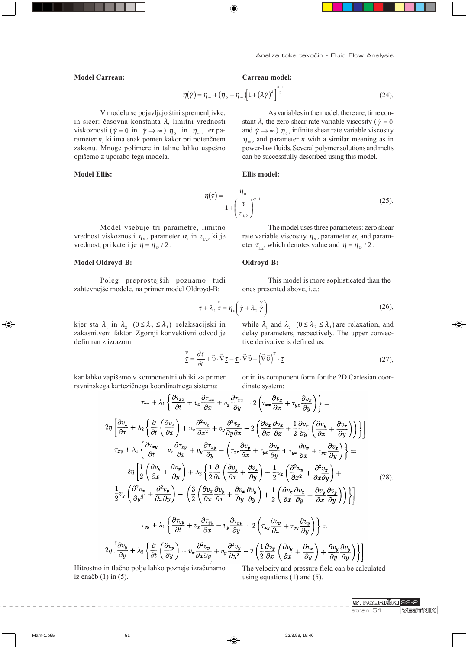As variables in the model, there are, time con-

#### **Model Carreau:**

## Carreau model:

$$
\eta(\dot{\gamma}) = \eta_{\infty} + (\eta_o - \eta_{\infty}) \left[ 1 + (\lambda \dot{\gamma})^2 \right]^{\frac{n-1}{2}} \tag{24}.
$$

V modelu se pojavljajo štiri spremenljivke, in sicer: časovna konstanta λ, limitni vrednosti viskoznosti ( $\dot{\gamma} = 0$  in  $\dot{\gamma} \rightarrow \infty$ )  $\eta_o$  in  $\eta_{\infty}$ , ter parameter n, ki ima enak pomen kakor pri potenčnem zakonu. Mnoge polimere in taline lahko uspešno opišemo z uporabo tega modela.

## **Model Ellis:**

stant  $\lambda$ , the zero shear rate variable viscosity ( $\dot{\gamma} = 0$ and  $\dot{\gamma} \rightarrow \infty$ )  $\eta_o$ , infinite shear rate variable viscosity  $\eta_{\infty}$ , and parameter *n* with a similar meaning as in power-law fluids. Several polymer solutions and melts can be successfully described using this model.

Ellis model:

$$
\eta(\tau) = \frac{\eta_o}{1 + \left(\frac{\tau}{\tau_{1/2}}\right)^{\alpha - 1}}\tag{25}
$$

Model vsebuje tri parametre, limitno vrednost viskoznosti  $\eta_o$ , parameter  $\alpha$ , in  $\tau_{1/2}$ , ki je vrednost, pri kateri je  $\eta = \eta_o / 2$ .

# **Model Oldroyd-B:**

Poleg preprostejših poznamo tudi zahtevnejše modele, na primer model Oldroyd-B:

The model uses three parameters: zero shear rate variable viscosity  $\eta_{\rho}$ , parameter  $\alpha$ , and parameter  $\tau_{1/2}$ , which denotes value and  $\eta = \eta_o / 2$ .

## Oldroyd-B:

This model is more sophisticated than the ones presented above, i.e.:

$$
\underline{\tau} + \lambda_1 \underline{\underline{\tau}} = \eta_o \left( \underline{\dot{\gamma}} + \lambda_2 \underline{\dot{\gamma}} \right)
$$
 (26),

kjer sta  $\lambda_1$  in  $\lambda_2$  ( $0 \leq \lambda_2 \leq \lambda_1$ ) relaksacijski in zakasnitveni faktor. Zgornji konvektivni odvod je definiran z izrazom:

while  $\lambda_1$  and  $\lambda_2$   $(0 \le \lambda_2 \le \lambda_1)$  are relaxation, and delay parameters, respectively. The upper convective derivative is defined as:

$$
\frac{\nabla}{\underline{\tau}} = \frac{\partial \tau}{\partial t} + \vec{v} \cdot \vec{\nabla} \underline{\tau} - \underline{\tau} \cdot \vec{\nabla} \vec{v} - (\vec{\nabla} \vec{v})^T \cdot \underline{\tau}
$$
\n(27),

kar lahko zapišemo v komponentni obliki za primer ravninskega kartezičnega koordinatnega sistema:

or in its component form for the 2D Cartesian coordinate system:

$$
\tau_{xx} + \lambda_1 \left\{ \frac{\partial \tau_{xx}}{\partial t} + v_x \frac{\partial \tau_{xx}}{\partial x} + v_y \frac{\partial \tau_{xx}}{\partial y} - 2 \left( \tau_{xx} \frac{\partial v_x}{\partial x} + \tau_{yx} \frac{\partial v_x}{\partial y} \right) \right\} =
$$
  
\n
$$
2\eta \left[ \frac{\partial v_x}{\partial x} + \lambda_2 \left\{ \frac{\partial}{\partial t} \left( \frac{\partial v_x}{\partial x} \right) + v_x \frac{\partial^2 v_x}{\partial x^2} + v_y \frac{\partial^2 v_x}{\partial y \partial x} - 2 \left( \frac{\partial v_x}{\partial x} \frac{\partial v_x}{\partial x} + \frac{1}{2} \frac{\partial v_x}{\partial y} \left( \frac{\partial v_y}{\partial x} + \frac{\partial v_x}{\partial y} \right) \right) \right\} \right]
$$
  
\n
$$
\tau_{xy} + \lambda_1 \left\{ \frac{\partial \tau_{xy}}{\partial t} + v_x \frac{\partial \tau_{xy}}{\partial x} + v_y \frac{\partial \tau_{xy}}{\partial y} - \left( \tau_{xx} \frac{\partial v_y}{\partial x} + \tau_{yx} \frac{\partial v_y}{\partial y} + \tau_{yx} \frac{\partial v_x}{\partial x} + \tau_{yy} \frac{\partial v_x}{\partial y} \right) \right\} =
$$
  
\n
$$
2\eta \left[ \frac{1}{2} \left( \frac{\partial v_y}{\partial x} + \frac{\partial v_x}{\partial y} \right) + \lambda_2 \left\{ \frac{1}{2} \frac{\partial}{\partial t} \left( \frac{\partial v_y}{\partial x} + \frac{\partial v_x}{\partial y} \right) + \frac{1}{2} v_x \left( \frac{\partial^2 v_y}{\partial x^2} + \frac{\partial^2 v_x}{\partial x \partial y} \right) + \frac{1}{2} v_y \left( \frac{\partial^2 v_x}{\partial y^2} + \frac{\partial^2 v_y}{\partial x \partial y} \right) \right\} \right]
$$
  
\n
$$
\frac{1}{2} v_y \left( \frac{\partial^2 v_x}{\partial y^2} + \frac{\partial^2 v_y}{\partial x \partial y} \right) - \left( \frac{3}{2} \left( \frac{\partial v_x}{\partial x} \frac{\partial v_y}{\partial x} + \frac{\partial v_x}{\partial y} \frac{\
$$

$$
2\eta \left[ \frac{\partial v_y}{\partial y} + \lambda_2 \left\{ \frac{\partial}{\partial t} \left( \frac{\partial v_y}{\partial y} \right) + v_x \frac{\partial^2 v_y}{\partial x \partial y} + v_y \frac{\partial^2 v_y}{\partial y^2} - 2 \left( \frac{1}{2} \frac{\partial v_y}{\partial x} \left( \frac{\partial v_y}{\partial x} + \frac{\partial v_x}{\partial y} \right) + \frac{\partial v_y}{\partial y} \frac{\partial v_y}{\partial y} \right) \right\} \right]
$$

Hitrostno in tlačno polje lahko pozneje izračunamo iz enačb $(1)$  in  $(5)$ .

The velocity and pressure field can be calculated using equations  $(1)$  and  $(5)$ .

> STROJNIŠKI 99-2 stran 51

**VESTNIK** 

Marn-1.p65

 $51$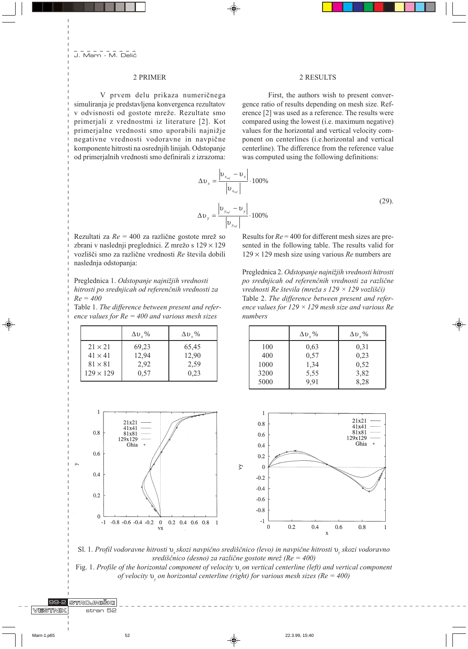## 2 PRIMER

V prvem delu prikaza numeričnega simuliranja je predstavljena konvergenca rezultatov v odvisnosti od gostote mreže. Rezultate smo primerjali z vrednostmi iz literature [2]. Kot primerjalne vrednosti smo uporabili najnižje negativne vrednosti vodoravne in navpične komponente hitrosti na osrednjih linijah. Odstopanje od primerjalnih vrednosti smo definirali z izrazoma:

### 2 RESULTS

First, the authors wish to present convergence ratio of results depending on mesh size. Reference [2] was used as a reference. The results were compared using the lowest (i.e. maximum negative) values for the horizontal and vertical velocity component on centerlines (i.e.horizontal and vertical centerline). The difference from the reference value was computed using the following definitions:

$$
\Delta v_x = \frac{\left|v_{x_{ref}} - v_x\right|}{\left|v_{x_{ref}}\right|} \cdot 100\%
$$
\n
$$
\Delta v_y = \frac{\left|v_{y_{ref}} - v_y\right|}{\left|v_{y_{ref}}\right|} \cdot 100\%
$$
\n(29)

Rezultati za  $Re = 400$  za različne gostote mrež so zbrani v naslednji preglednici. Z mrežo s 129 × 129 vozlišči smo za različne vrednosti Re števila dobili naslednja odstopanja:

Preglednica 1. Odstopanje najnižjih vrednosti hitrosti po srednjicah od referenčnih vrednosti za  $Re = 400$ 

Table 1. The difference between present and reference values for  $Re = 400$  and various mesh sizes

|                  | $\Delta v$ , % | $\Delta v$ , % |
|------------------|----------------|----------------|
| $21 \times 21$   | 69,23          | 65,45          |
| $41 \times 41$   | 12,94          | 12,90          |
| $81 \times 81$   | 2,92           | 2.59           |
| $129 \times 129$ | 0.57           | 0,23           |

Results for  $Re = 400$  for different mesh sizes are presented in the following table. The results valid for  $129 \times 129$  mesh size using various Re numbers are

Preglednica 2. Odstopanje najnižjih vrednosti hitrosti po srednjicah od referenčnih vrednosti za različne vrednosti Re števila (mreža s 129 × 129 vozlišči) Table 2. The difference between present and reference values for  $129 \times 129$  mesh size and various Re numbers

|      | $\Delta v$ , % | $\Delta v_y$ % |
|------|----------------|----------------|
| 100  | 0.63           | 0.31           |
| 400  | 0,57           | 0,23           |
| 1000 | 1,34           | 0.52           |
| 3200 | 5,55           | 3,82           |
| 5000 | 9,91           | 8,28           |



Sl. 1. Profil vodoravne hitrosti v skozi navpično središčnico (levo) in navpične hitrosti v skozi vodoravno središčnico (desno) za različne gostote mrež ( $Re = 400$ )

Fig. 1. Profile of the horizontal component of velocity  $v_{\omega}$  on vertical centerline (left) and vertical component of velocity  $v_{v}$  on horizontal centerline (right) for various mesh sizes (Re = 400)

⊕

99-2 STROJNIŠKI VESTNIK stran 52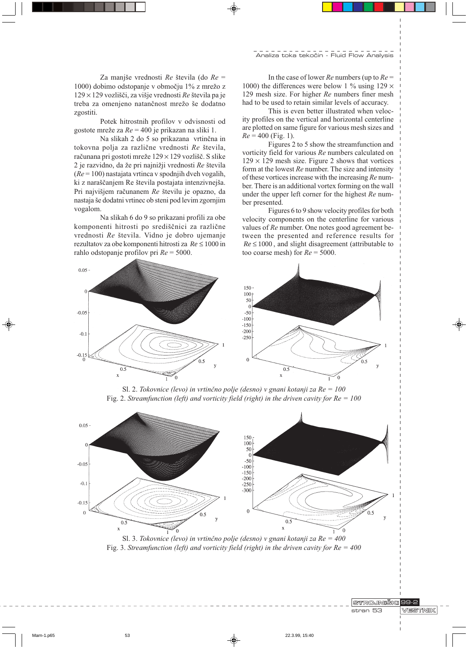Za manjše vrednosti Re števila (do  $Re =$ 1000) dobimo odstopanje v območju 1% z mrežo z  $129 \times 129$  vozlišči, za višje vrednosti Re števila pa je treba za omenjeno natančnost mrežo še dodatno zgostiti.

Potek hitrostnih profilov v odvisnosti od gostote mreže za  $Re = 400$  je prikazan na sliki 1.

Na slikah 2 do 5 so prikazana vrtinčna in tokovna polja za različne vrednosti Re števila, računana pri gostoti mreže 129 × 129 vozlišč. S slike 2 je razvidno, da že pri najnižji vrednosti Re števila  $(Re = 100)$  nastajata vrtinca v spodnjih dveh vogalih, ki z naraščanjem Re števila postajata intenzivnejša. Pri najvišjem računanem Re številu je opazno, da nastaja še dodatni vrtinec ob steni pod levim zgornjim vogalom.

Na slikah 6 do 9 so prikazani profili za obe komponenti hitrosti po središčnici za različne vrednosti Re števila. Vidno je dobro ujemanje rezultatov za obe komponenti hitrosti za  $Re \le 1000$  in rahlo odstopanje profilov pri  $Re = 5000$ .

In the case of lower Re numbers (up to  $Re =$ 1000) the differences were below 1 % using 129  $\times$ 129 mesh size. For higher Re numbers finer mesh had to be used to retain similar levels of accuracy.

This is even better illustrated when velocity profiles on the vertical and horizontal centerline are plotted on same figure for various mesh sizes and  $Re = 400$  (Fig. 1).

Figures 2 to 5 show the streamfunction and vorticity field for various Re numbers calculated on  $129 \times 129$  mesh size. Figure 2 shows that vortices form at the lowest  $Re$  number. The size and intensity of these vortices increase with the increasing Re number. There is an additional vortex forming on the wall under the upper left corner for the highest Re number presented.

Figures 6 to 9 show velocity profiles for both velocity components on the centerline for various values of Re number. One notes good agreement between the presented and reference results for  $Re \leq 1000$ , and slight disagreement (attributable to too coarse mesh) for  $Re = 5000$ .



Sl. 2. Tokovnice (levo) in vrtinčno polje (desno) v gnani kotanji za  $Re = 100$ Fig. 2. Streamfunction (left) and vorticity field (right) in the driven cavity for  $Re = 100$ 



Sl. 3. Tokovnice (levo) in vrtinčno polje (desno) v gnani kotanji za  $Re = 400$ Fig. 3. Streamfunction (left) and vorticity field (right) in the driven cavity for  $Re = 400$ 

STROJNIŠKI 99-2 stran 53

**VESTNIK**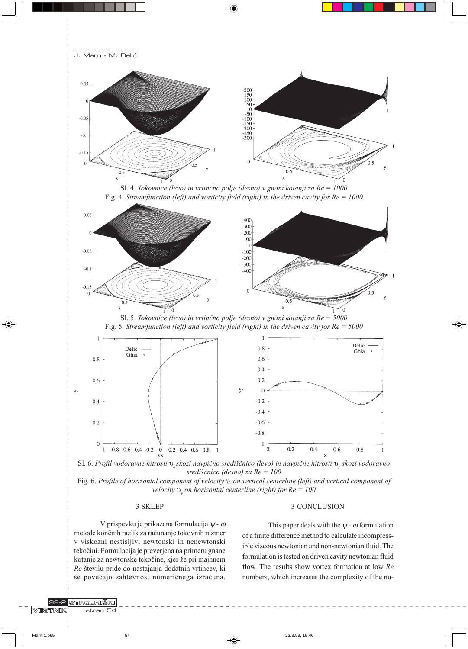



velocity  $v_v$  on horizontal centerline (right) for  $Re = 100$ 

## 3 SKLEP

#### 3 CONCLUSION

V prispevku je prikazana formulacija  $\psi$  -  $\omega$ metode končnih razlik za računanje tokovnih razmer v viskozni nestisljivi newtonski in nenewtonski tekočini. Formulacija je preverjena na primeru gnane kotanje za newtonske tekočine, kjer že pri majhnem Re številu pride do nastajanja dodatnih vrtincev, ki še povečajo zahtevnost numeričnega izračuna.

This paper deals with the  $\psi$  -  $\omega$  formulation of a finite difference method to calculate incompressible viscous newtonian and non-newtonian fluid. The formulation is tested on driven cavity newtonian fluid flow. The results show vortex formation at low Re numbers, which increases the complexity of the nu-

99-2 VESTNIK

54

STROJNIŠKI

stran  $54$ 

22.3.99.15:40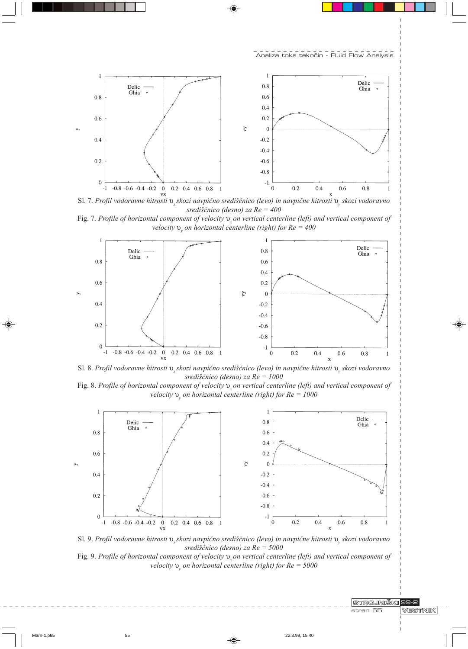

Sl. 7. Profil vodoravne hitrosti v skozi navpično središčnico (levo) in navpične hitrosti v skozi vodoravno središčnico (desno) za  $Re = 400$ 

Fig. 7. Profile of horizontal component of velocity  $v_{\omega}$  on vertical centerline (left) and vertical component of velocity  $v_{0}$  on horizontal centerline (right) for  $Re = 400$ 



Sl. 8. Profil vodoravne hitrosti v skozi navpično središčnico (levo) in navpične hitrosti v skozi vodoravno središčnico (desno) za  $Re = 1000$ 

Fig. 8. Profile of horizontal component of velocity  $v_{\nu}$  on vertical centerline (left) and vertical component of velocity  $v_{\rm g}$  on horizontal centerline (right) for  $Re = 1000$ 



Sl. 9. Profil vodoravne hitrosti v skozi navpično središčnico (levo) in navpične hitrosti v skozi vodoravno središčnico (desno) za Re = 5000



STROJNIŠKI 99-2 stran 55

**VESTNIK**